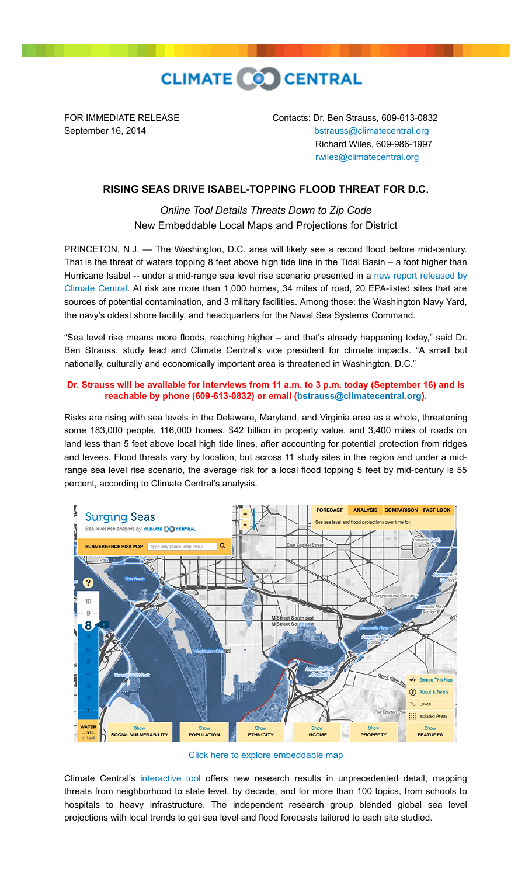

FOR IMMEDIATE RELEASE Contacts: Dr. Ben Strauss, 609-613-0832 September 16, 2014 **[bstrauss@climatecentral.org](mailto:bstrauss@climatecentral.org)**  Richard Wiles, 609-986-1997 [rwiles@climatecentral.org](mailto:rwiles@climatecentral.org)

## **RISING SEAS DRIVE ISABEL-TOPPING FLOOD THREAT FOR D.C.**

*Online Tool Details Threats Down to Zip Code* New Embeddable Local Maps and Projections for District

PRINCETON, N.J. — The Washington, D.C. area will likely see a record flood before mid-century. That is the threat of waters topping 8 feet above high tide line in the Tidal Basin – a foot higher than [Hurricane Isabel -- under a mid-range sea level rise scenario presented in a new report released by](http://sealevel.climatecentral.org/ssrf/dc) Climate Central. At risk are more than 1,000 homes, 34 miles of road, 20 EPA-listed sites that are sources of potential contamination, and 3 military facilities. Among those: the Washington Navy Yard, the navy's oldest shore facility, and headquarters for the Naval Sea Systems Command.

"Sea level rise means more floods, reaching higher – and that's already happening today," said Dr. Ben Strauss, study lead and Climate Central's vice president for climate impacts. "A small but nationally, culturally and economically important area is threatened in Washington, D.C."

## **Dr. Strauss will be available for interviews from 11 a.m. to 3 p.m. today (September 16) and is reachable by phone (609-613-0832) or email [\(bstrauss@climatecentral.org](mailto:bstrauss@climatecentral.org)).**

Risks are rising with sea levels in the Delaware, Maryland, and Virginia area as a whole, threatening some 183,000 people, 116,000 homes, \$42 billion in property value, and 3,400 miles of roads on land less than 5 feet above local high tide lines, after accounting for potential protection from ridges and levees. Flood threats vary by location, but across 11 study sites in the region and under a midrange sea level rise scenario, the average risk for a local flood topping 5 feet by mid-century is 55 percent, according to Climate Central's analysis.



[Click here to explore embeddable map](http://ss2.climatecentral.org/#14/38.8890/-77.0288?show=satellite&level=8&pois=hide)

Climate Central's [interactive tool](http://sealevel.climatecentral.org/ssrf/dc) offers new research results in unprecedented detail, mapping threats from neighborhood to state level, by decade, and for more than 100 topics, from schools to hospitals to heavy infrastructure. The independent research group blended global sea level projections with local trends to get sea level and flood forecasts tailored to each site studied.